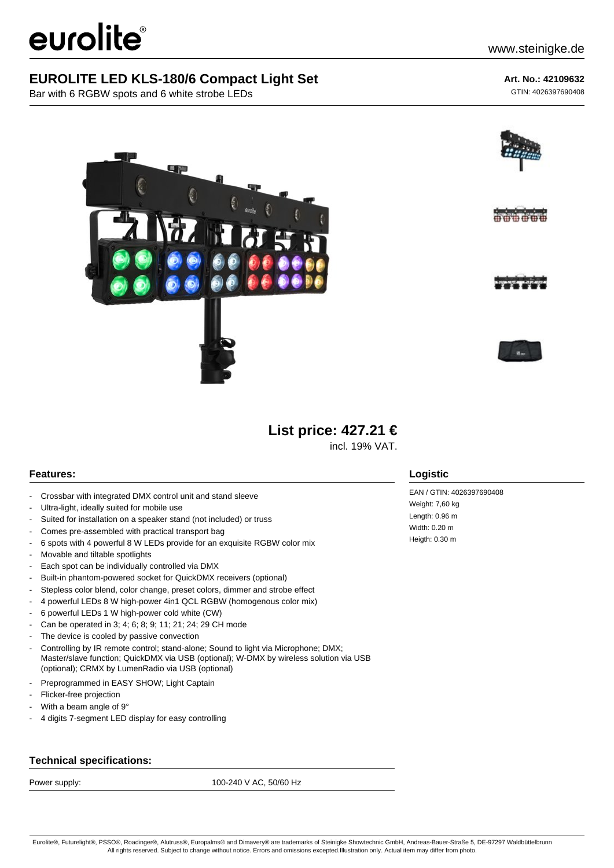# eurolite®

## **EUROLITE LED KLS-180/6 Compact Light Set**

Bar with 6 RGBW spots and 6 white strobe LEDs

## **Art. No.: 42109632**

GTIN: 4026397690408







## **List price: 427.21 €**

incl. 19% VAT.

## **Features:**

- Crossbar with integrated DMX control unit and stand sleeve
- Ultra-light, ideally suited for mobile use
- Suited for installation on a speaker stand (not included) or truss
- Comes pre-assembled with practical transport bag
- 6 spots with 4 powerful 8 W LEDs provide for an exquisite RGBW color mix
- Movable and tiltable spotlights
- Each spot can be individually controlled via DMX
- Built-in phantom-powered socket for QuickDMX receivers (optional)
- Stepless color blend, color change, preset colors, dimmer and strobe effect
- 4 powerful LEDs 8 W high-power 4in1 QCL RGBW (homogenous color mix)
- 6 powerful LEDs 1 W high-power cold white (CW)
- Can be operated in 3; 4; 6; 8; 9; 11; 21; 24; 29 CH mode
- The device is cooled by passive convection
- Controlling by IR remote control; stand-alone; Sound to light via Microphone; DMX; Master/slave function; QuickDMX via USB (optional); W-DMX by wireless solution via USB (optional); CRMX by LumenRadio via USB (optional)
- Preprogrammed in EASY SHOW; Light Captain
- Flicker-free projection
- With a beam angle of 9°
- 4 digits 7-segment LED display for easy controlling

### **Technical specifications:**

Power supply: 100-240 V AC, 50/60 Hz

### **Logistic**

EAN / GTIN: 4026397690408 Weight: 7,60 kg Length: 0.96 m Width: 0.20 m Heigth: 0.30 m

Eurolite®, Futurelight®, PSSO®, Roadinger®, Alutruss®, Europalms® and Dimavery® are trademarks of Steinigke Showtechnic GmbH, Andreas-Bauer-Straße 5, DE-97297 Waldbüttelbrunn All rights reserved. Subject to change without notice. Errors and omissions excepted.Illustration only. Actual item may differ from photo.